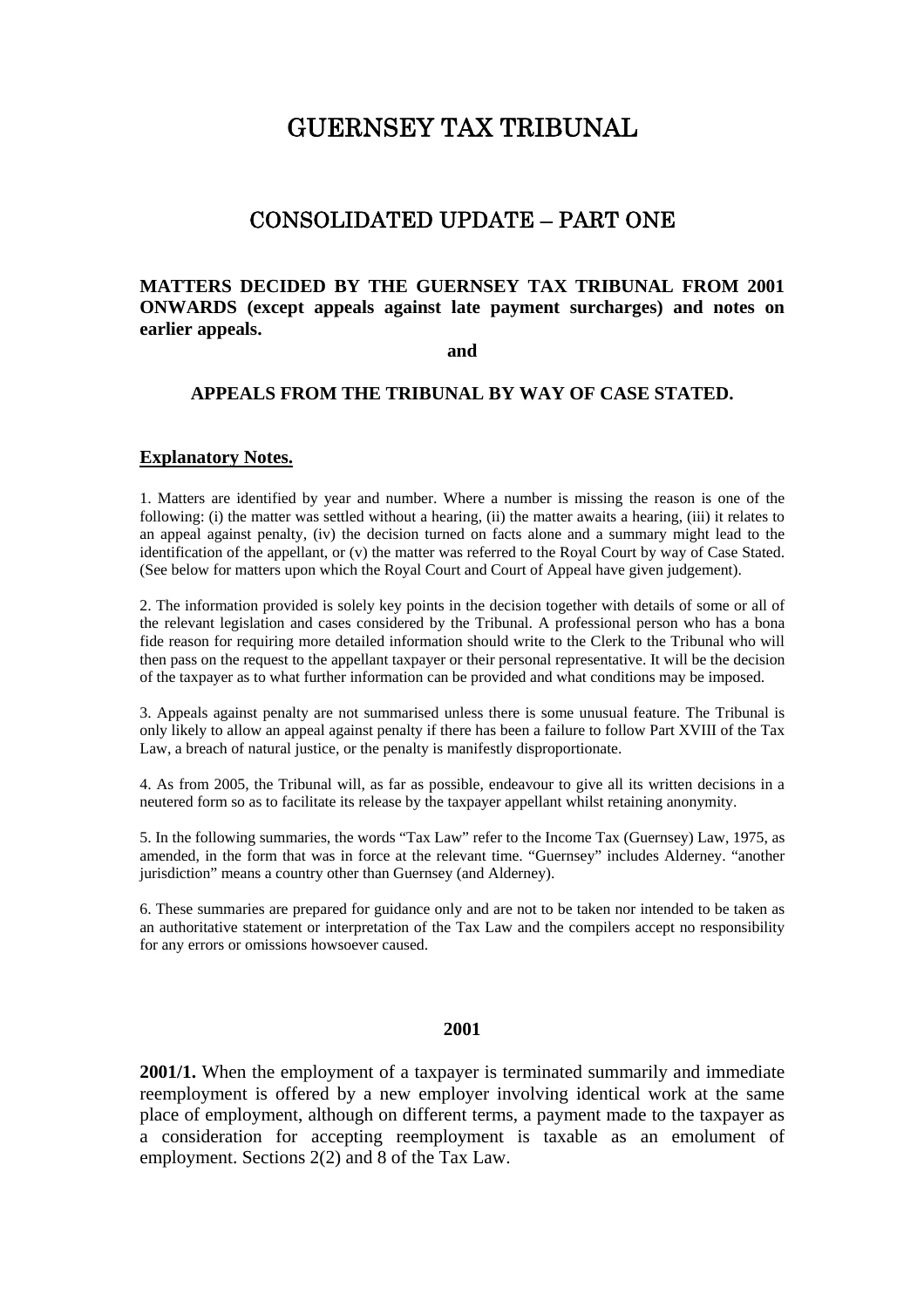## GUERNSEY TAX TRIBUNAL

## CONSOLIDATED UPDATE – PART ONE

## **MATTERS DECIDED BY THE GUERNSEY TAX TRIBUNAL FROM 2001 ONWARDS (except appeals against late payment surcharges) and notes on earlier appeals.**

**and** 

## **APPEALS FROM THE TRIBUNAL BY WAY OF CASE STATED.**

#### **Explanatory Notes.**

1. Matters are identified by year and number. Where a number is missing the reason is one of the following: (i) the matter was settled without a hearing, (ii) the matter awaits a hearing, (iii) it relates to an appeal against penalty, (iv) the decision turned on facts alone and a summary might lead to the identification of the appellant, or (v) the matter was referred to the Royal Court by way of Case Stated. (See below for matters upon which the Royal Court and Court of Appeal have given judgement).

2. The information provided is solely key points in the decision together with details of some or all of the relevant legislation and cases considered by the Tribunal. A professional person who has a bona fide reason for requiring more detailed information should write to the Clerk to the Tribunal who will then pass on the request to the appellant taxpayer or their personal representative. It will be the decision of the taxpayer as to what further information can be provided and what conditions may be imposed.

3. Appeals against penalty are not summarised unless there is some unusual feature. The Tribunal is only likely to allow an appeal against penalty if there has been a failure to follow Part XVIII of the Tax Law, a breach of natural justice, or the penalty is manifestly disproportionate.

4. As from 2005, the Tribunal will, as far as possible, endeavour to give all its written decisions in a neutered form so as to facilitate its release by the taxpayer appellant whilst retaining anonymity.

5. In the following summaries, the words "Tax Law" refer to the Income Tax (Guernsey) Law, 1975, as amended, in the form that was in force at the relevant time. "Guernsey" includes Alderney. "another jurisdiction" means a country other than Guernsey (and Alderney).

6. These summaries are prepared for guidance only and are not to be taken nor intended to be taken as an authoritative statement or interpretation of the Tax Law and the compilers accept no responsibility for any errors or omissions howsoever caused.

#### **2001**

**2001/1.** When the employment of a taxpayer is terminated summarily and immediate reemployment is offered by a new employer involving identical work at the same place of employment, although on different terms, a payment made to the taxpayer as a consideration for accepting reemployment is taxable as an emolument of employment. Sections 2(2) and 8 of the Tax Law.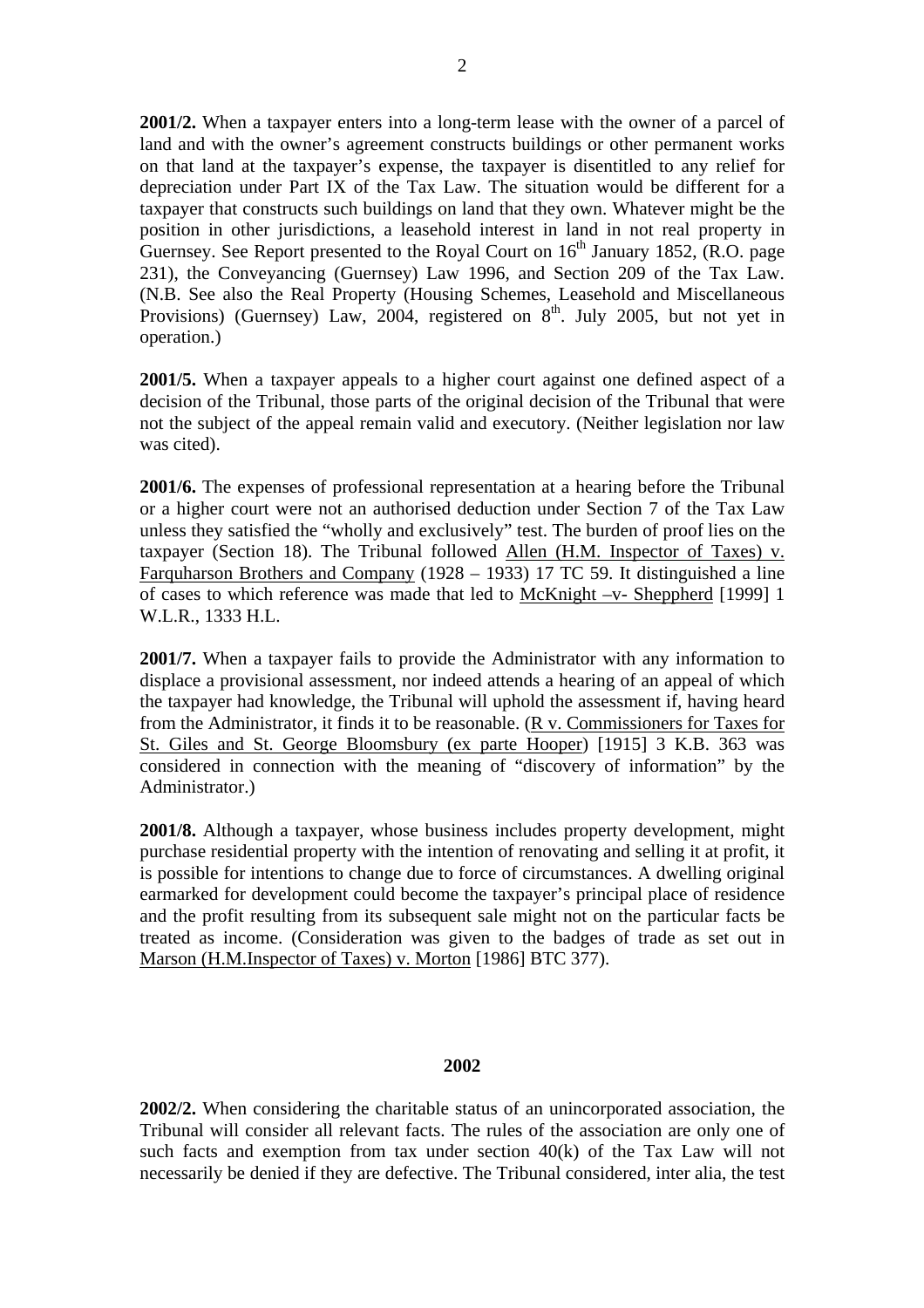**2001/2.** When a taxpayer enters into a long-term lease with the owner of a parcel of land and with the owner's agreement constructs buildings or other permanent works on that land at the taxpayer's expense, the taxpayer is disentitled to any relief for depreciation under Part IX of the Tax Law. The situation would be different for a taxpayer that constructs such buildings on land that they own. Whatever might be the position in other jurisdictions, a leasehold interest in land in not real property in Guernsey. See Report presented to the Royal Court on  $16<sup>th</sup>$  January 1852, (R.O. page 231), the Conveyancing (Guernsey) Law 1996, and Section 209 of the Tax Law. (N.B. See also the Real Property (Housing Schemes, Leasehold and Miscellaneous Provisions) (Guernsey) Law, 2004, registered on  $8<sup>th</sup>$ . July 2005, but not yet in operation.)

**2001/5.** When a taxpayer appeals to a higher court against one defined aspect of a decision of the Tribunal, those parts of the original decision of the Tribunal that were not the subject of the appeal remain valid and executory. (Neither legislation nor law was cited).

**2001/6.** The expenses of professional representation at a hearing before the Tribunal or a higher court were not an authorised deduction under Section 7 of the Tax Law unless they satisfied the "wholly and exclusively" test. The burden of proof lies on the taxpayer (Section 18). The Tribunal followed Allen  $(H.M.$  Inspector of Taxes) v. Farquharson Brothers and Company (1928 – 1933) 17 TC 59. It distinguished a line of cases to which reference was made that led to McKnight –v- Sheppherd [1999] 1 W.L.R., 1333 H.L.

**2001/7.** When a taxpayer fails to provide the Administrator with any information to displace a provisional assessment, nor indeed attends a hearing of an appeal of which the taxpayer had knowledge, the Tribunal will uphold the assessment if, having heard from the Administrator, it finds it to be reasonable. (R v. Commissioners for Taxes for St. Giles and St. George Bloomsbury (ex parte Hooper) [1915] 3 K.B. 363 was considered in connection with the meaning of "discovery of information" by the Administrator.)

**2001/8.** Although a taxpayer, whose business includes property development, might purchase residential property with the intention of renovating and selling it at profit, it is possible for intentions to change due to force of circumstances. A dwelling original earmarked for development could become the taxpayer's principal place of residence and the profit resulting from its subsequent sale might not on the particular facts be treated as income. (Consideration was given to the badges of trade as set out in Marson (H.M.Inspector of Taxes) v. Morton [1986] BTC 377).

## **2002**

**2002/2.** When considering the charitable status of an unincorporated association, the Tribunal will consider all relevant facts. The rules of the association are only one of such facts and exemption from tax under section 40(k) of the Tax Law will not necessarily be denied if they are defective. The Tribunal considered, inter alia, the test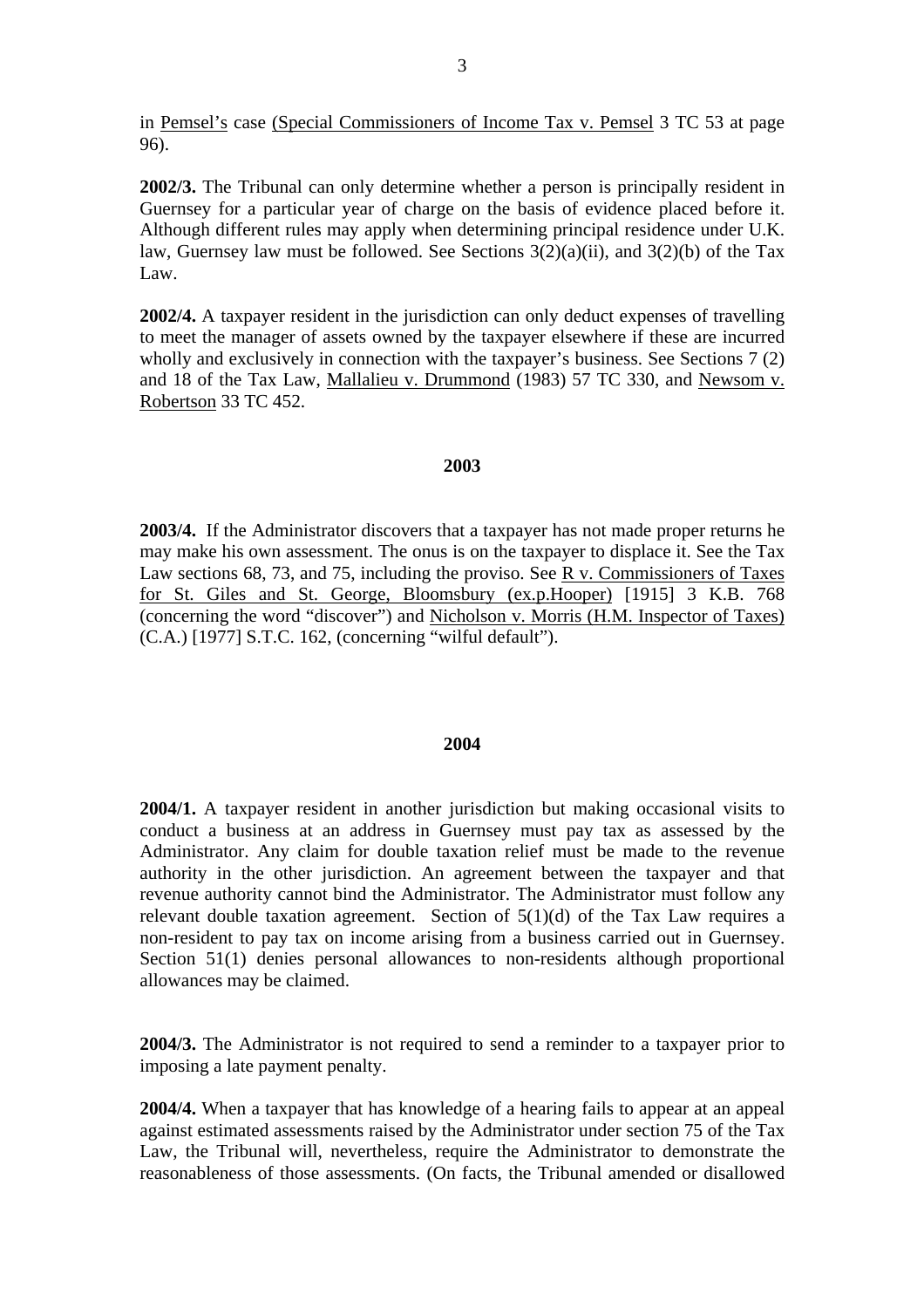in Pemsel's case (Special Commissioners of Income Tax v. Pemsel 3 TC 53 at page 96).

**2002/3.** The Tribunal can only determine whether a person is principally resident in Guernsey for a particular year of charge on the basis of evidence placed before it. Although different rules may apply when determining principal residence under U.K. law, Guernsey law must be followed. See Sections  $3(2)(a)(ii)$ , and  $3(2)(b)$  of the Tax Law.

**2002/4.** A taxpayer resident in the jurisdiction can only deduct expenses of travelling to meet the manager of assets owned by the taxpayer elsewhere if these are incurred wholly and exclusively in connection with the taxpayer's business. See Sections 7 (2) and 18 of the Tax Law, Mallalieu v. Drummond (1983) 57 TC 330, and Newsom v. Robertson 33 TC 452.

#### **2003**

**2003/4.** If the Administrator discovers that a taxpayer has not made proper returns he may make his own assessment. The onus is on the taxpayer to displace it. See the Tax Law sections 68, 73, and 75, including the proviso. See R v. Commissioners of Taxes for St. Giles and St. George, Bloomsbury (ex.p.Hooper) [1915] 3 K.B. 768 (concerning the word "discover") and Nicholson v. Morris (H.M. Inspector of Taxes) (C.A.) [1977] S.T.C. 162, (concerning "wilful default").

#### **2004**

**2004/1.** A taxpayer resident in another jurisdiction but making occasional visits to conduct a business at an address in Guernsey must pay tax as assessed by the Administrator. Any claim for double taxation relief must be made to the revenue authority in the other jurisdiction. An agreement between the taxpayer and that revenue authority cannot bind the Administrator. The Administrator must follow any relevant double taxation agreement. Section of  $5(1)(d)$  of the Tax Law requires a non-resident to pay tax on income arising from a business carried out in Guernsey. Section 51(1) denies personal allowances to non-residents although proportional allowances may be claimed.

**2004/3.** The Administrator is not required to send a reminder to a taxpayer prior to imposing a late payment penalty.

**2004/4.** When a taxpayer that has knowledge of a hearing fails to appear at an appeal against estimated assessments raised by the Administrator under section 75 of the Tax Law, the Tribunal will, nevertheless, require the Administrator to demonstrate the reasonableness of those assessments. (On facts, the Tribunal amended or disallowed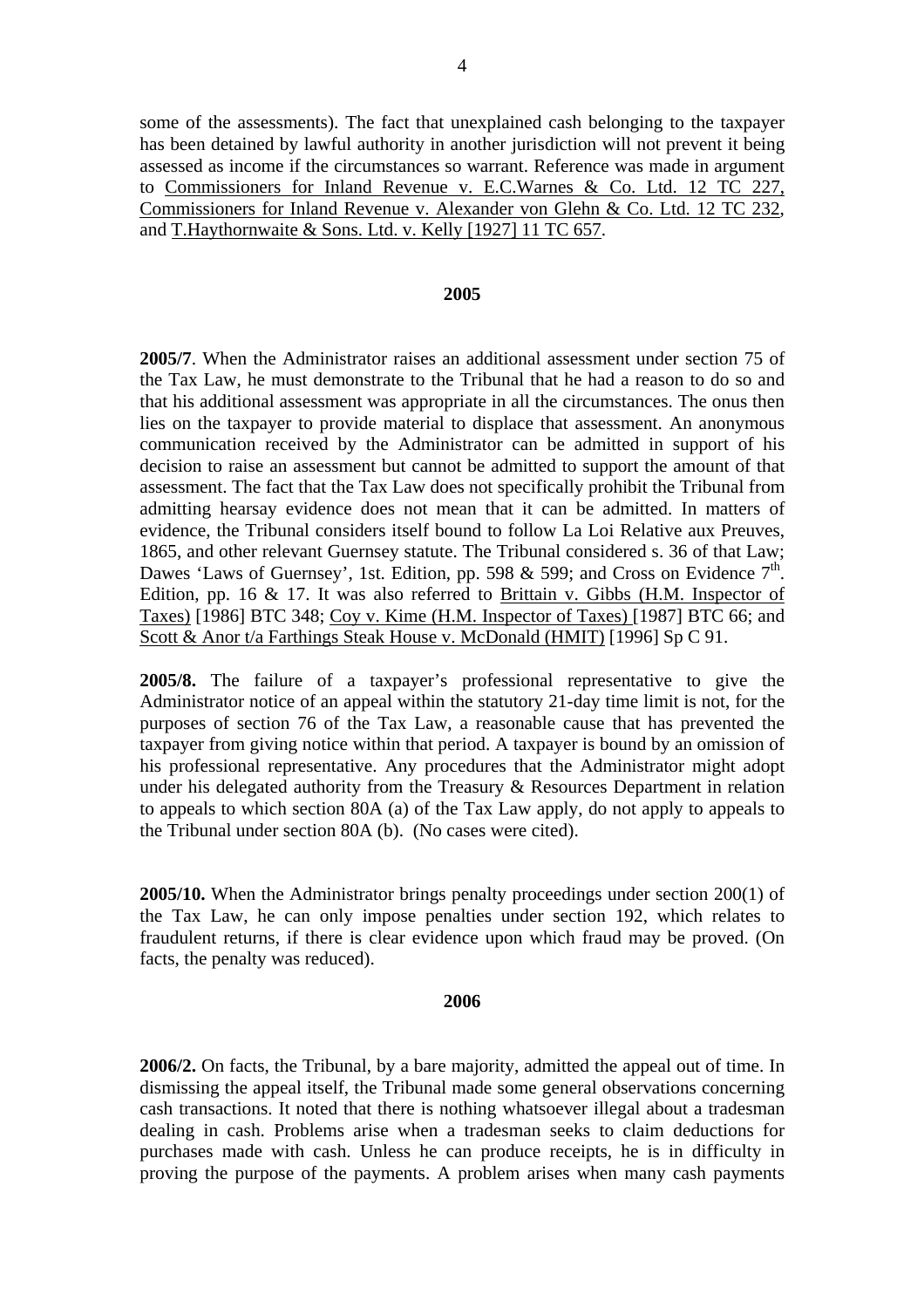some of the assessments). The fact that unexplained cash belonging to the taxpayer has been detained by lawful authority in another jurisdiction will not prevent it being assessed as income if the circumstances so warrant. Reference was made in argument to Commissioners for Inland Revenue v. E.C.Warnes & Co. Ltd. 12 TC 227, Commissioners for Inland Revenue v. Alexander von Glehn & Co. Ltd. 12 TC 232, and T.Haythornwaite & Sons. Ltd. v. Kelly [1927] 11 TC 657.

#### **2005**

**2005/7**. When the Administrator raises an additional assessment under section 75 of the Tax Law, he must demonstrate to the Tribunal that he had a reason to do so and that his additional assessment was appropriate in all the circumstances. The onus then lies on the taxpayer to provide material to displace that assessment. An anonymous communication received by the Administrator can be admitted in support of his decision to raise an assessment but cannot be admitted to support the amount of that assessment. The fact that the Tax Law does not specifically prohibit the Tribunal from admitting hearsay evidence does not mean that it can be admitted. In matters of evidence, the Tribunal considers itself bound to follow La Loi Relative aux Preuves, 1865, and other relevant Guernsey statute. The Tribunal considered s. 36 of that Law; Dawes 'Laws of Guernsey', 1st. Edition, pp. 598 & 599; and Cross on Evidence  $7<sup>th</sup>$ . Edition, pp. 16 & 17. It was also referred to Brittain v. Gibbs (H.M. Inspector of Taxes) [1986] BTC 348; Coy v. Kime (H.M. Inspector of Taxes) [1987] BTC 66; and Scott & Anor t/a Farthings Steak House v. McDonald (HMIT) [1996] Sp C 91.

**2005/8.** The failure of a taxpayer's professional representative to give the Administrator notice of an appeal within the statutory 21-day time limit is not, for the purposes of section 76 of the Tax Law, a reasonable cause that has prevented the taxpayer from giving notice within that period. A taxpayer is bound by an omission of his professional representative. Any procedures that the Administrator might adopt under his delegated authority from the Treasury & Resources Department in relation to appeals to which section 80A (a) of the Tax Law apply, do not apply to appeals to the Tribunal under section 80A (b). (No cases were cited).

**2005/10.** When the Administrator brings penalty proceedings under section 200(1) of the Tax Law, he can only impose penalties under section 192, which relates to fraudulent returns, if there is clear evidence upon which fraud may be proved. (On facts, the penalty was reduced).

#### **2006**

**2006/2.** On facts, the Tribunal, by a bare majority, admitted the appeal out of time. In dismissing the appeal itself, the Tribunal made some general observations concerning cash transactions. It noted that there is nothing whatsoever illegal about a tradesman dealing in cash. Problems arise when a tradesman seeks to claim deductions for purchases made with cash. Unless he can produce receipts, he is in difficulty in proving the purpose of the payments. A problem arises when many cash payments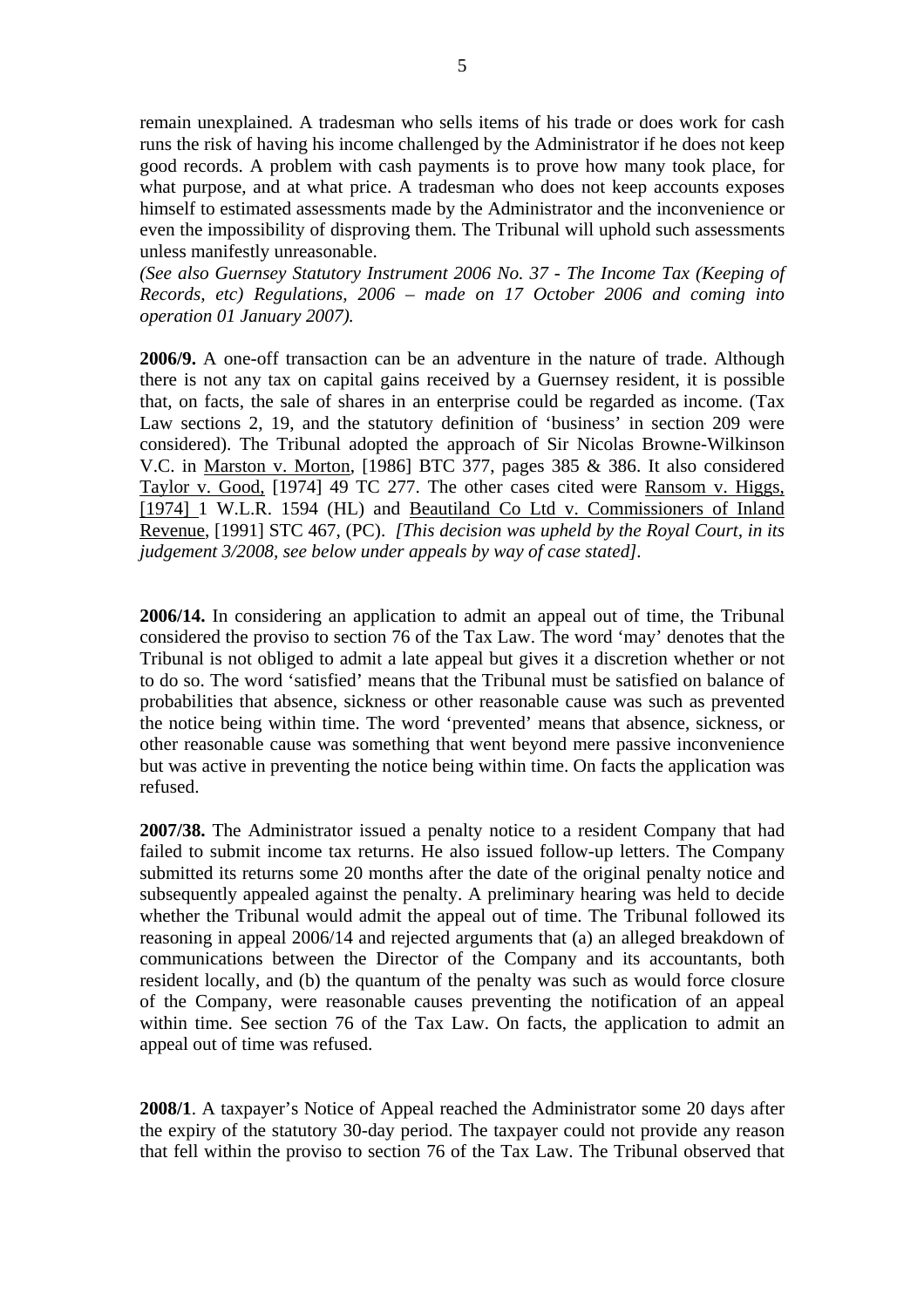remain unexplained. A tradesman who sells items of his trade or does work for cash runs the risk of having his income challenged by the Administrator if he does not keep good records. A problem with cash payments is to prove how many took place, for what purpose, and at what price. A tradesman who does not keep accounts exposes himself to estimated assessments made by the Administrator and the inconvenience or even the impossibility of disproving them. The Tribunal will uphold such assessments unless manifestly unreasonable.

*(See also Guernsey Statutory Instrument 2006 No. 37 - The Income Tax (Keeping of Records, etc) Regulations, 2006 – made on 17 October 2006 and coming into operation 01 January 2007).* 

**2006/9.** A one-off transaction can be an adventure in the nature of trade. Although there is not any tax on capital gains received by a Guernsey resident, it is possible that, on facts, the sale of shares in an enterprise could be regarded as income. (Tax Law sections 2, 19, and the statutory definition of 'business' in section 209 were considered). The Tribunal adopted the approach of Sir Nicolas Browne-Wilkinson V.C. in Marston v. Morton, [1986] BTC 377, pages 385 & 386. It also considered Taylor v. Good, [1974] 49 TC 277. The other cases cited were Ransom v. Higgs, [1974] 1 W.L.R. 1594 (HL) and Beautiland Co Ltd v. Commissioners of Inland Revenue, [1991] STC 467, (PC). *[This decision was upheld by the Royal Court, in its judgement 3/2008, see below under appeals by way of case stated].*

**2006/14.** In considering an application to admit an appeal out of time, the Tribunal considered the proviso to section 76 of the Tax Law. The word 'may' denotes that the Tribunal is not obliged to admit a late appeal but gives it a discretion whether or not to do so. The word 'satisfied' means that the Tribunal must be satisfied on balance of probabilities that absence, sickness or other reasonable cause was such as prevented the notice being within time. The word 'prevented' means that absence, sickness, or other reasonable cause was something that went beyond mere passive inconvenience but was active in preventing the notice being within time. On facts the application was refused.

**2007/38.** The Administrator issued a penalty notice to a resident Company that had failed to submit income tax returns. He also issued follow-up letters. The Company submitted its returns some 20 months after the date of the original penalty notice and subsequently appealed against the penalty. A preliminary hearing was held to decide whether the Tribunal would admit the appeal out of time. The Tribunal followed its reasoning in appeal 2006/14 and rejected arguments that (a) an alleged breakdown of communications between the Director of the Company and its accountants, both resident locally, and (b) the quantum of the penalty was such as would force closure of the Company, were reasonable causes preventing the notification of an appeal within time. See section 76 of the Tax Law. On facts, the application to admit an appeal out of time was refused.

**2008/1**. A taxpayer's Notice of Appeal reached the Administrator some 20 days after the expiry of the statutory 30-day period. The taxpayer could not provide any reason that fell within the proviso to section 76 of the Tax Law. The Tribunal observed that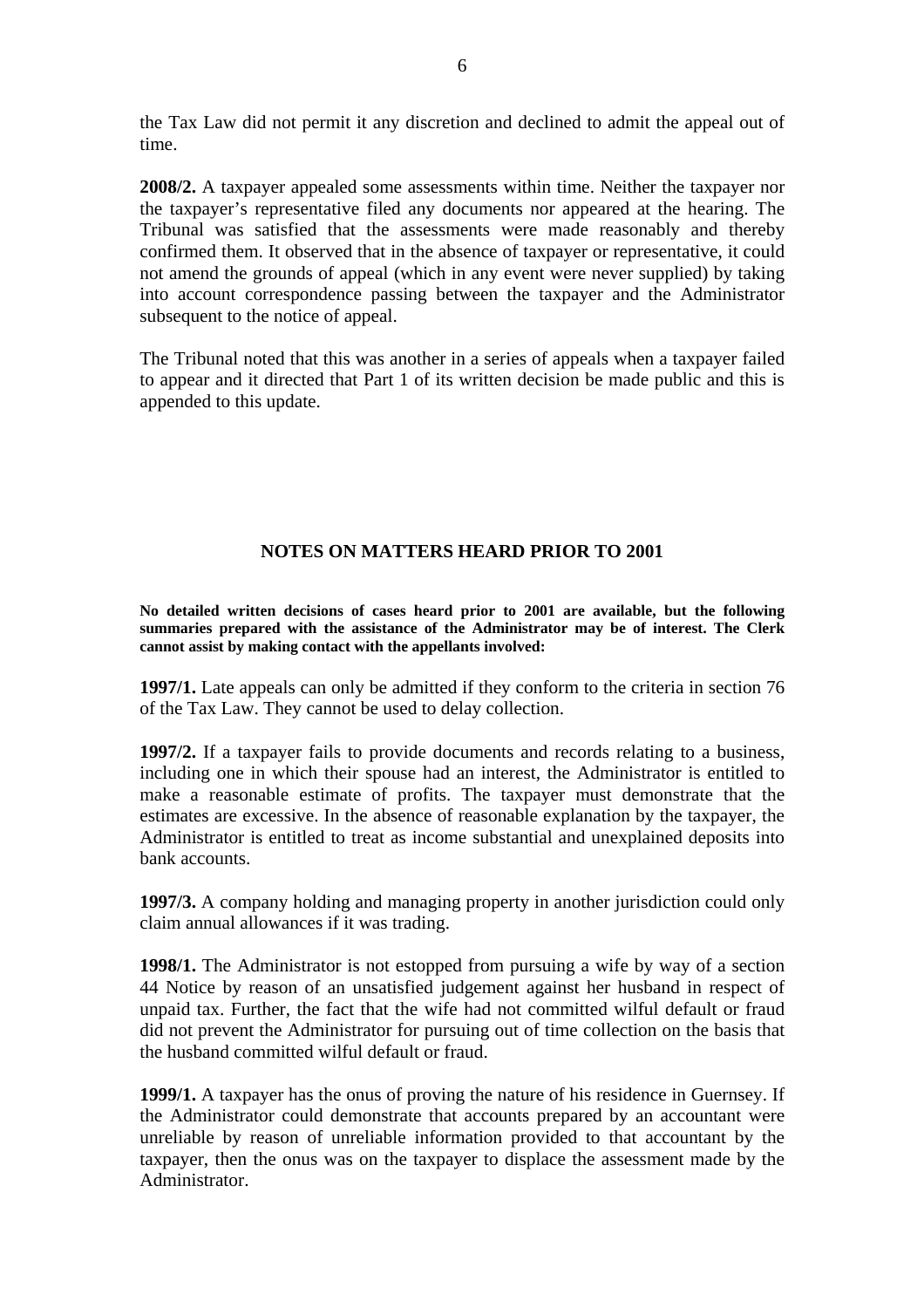the Tax Law did not permit it any discretion and declined to admit the appeal out of time.

**2008/2.** A taxpayer appealed some assessments within time. Neither the taxpayer nor the taxpayer's representative filed any documents nor appeared at the hearing. The Tribunal was satisfied that the assessments were made reasonably and thereby confirmed them. It observed that in the absence of taxpayer or representative, it could not amend the grounds of appeal (which in any event were never supplied) by taking into account correspondence passing between the taxpayer and the Administrator subsequent to the notice of appeal.

The Tribunal noted that this was another in a series of appeals when a taxpayer failed to appear and it directed that Part 1 of its written decision be made public and this is appended to this update.

## **NOTES ON MATTERS HEARD PRIOR TO 2001**

**No detailed written decisions of cases heard prior to 2001 are available, but the following summaries prepared with the assistance of the Administrator may be of interest. The Clerk cannot assist by making contact with the appellants involved:** 

**1997/1.** Late appeals can only be admitted if they conform to the criteria in section 76 of the Tax Law. They cannot be used to delay collection.

**1997/2.** If a taxpayer fails to provide documents and records relating to a business, including one in which their spouse had an interest, the Administrator is entitled to make a reasonable estimate of profits. The taxpayer must demonstrate that the estimates are excessive. In the absence of reasonable explanation by the taxpayer, the Administrator is entitled to treat as income substantial and unexplained deposits into bank accounts.

**1997/3.** A company holding and managing property in another jurisdiction could only claim annual allowances if it was trading.

**1998/1.** The Administrator is not estopped from pursuing a wife by way of a section 44 Notice by reason of an unsatisfied judgement against her husband in respect of unpaid tax. Further, the fact that the wife had not committed wilful default or fraud did not prevent the Administrator for pursuing out of time collection on the basis that the husband committed wilful default or fraud.

**1999/1.** A taxpayer has the onus of proving the nature of his residence in Guernsey. If the Administrator could demonstrate that accounts prepared by an accountant were unreliable by reason of unreliable information provided to that accountant by the taxpayer, then the onus was on the taxpayer to displace the assessment made by the Administrator.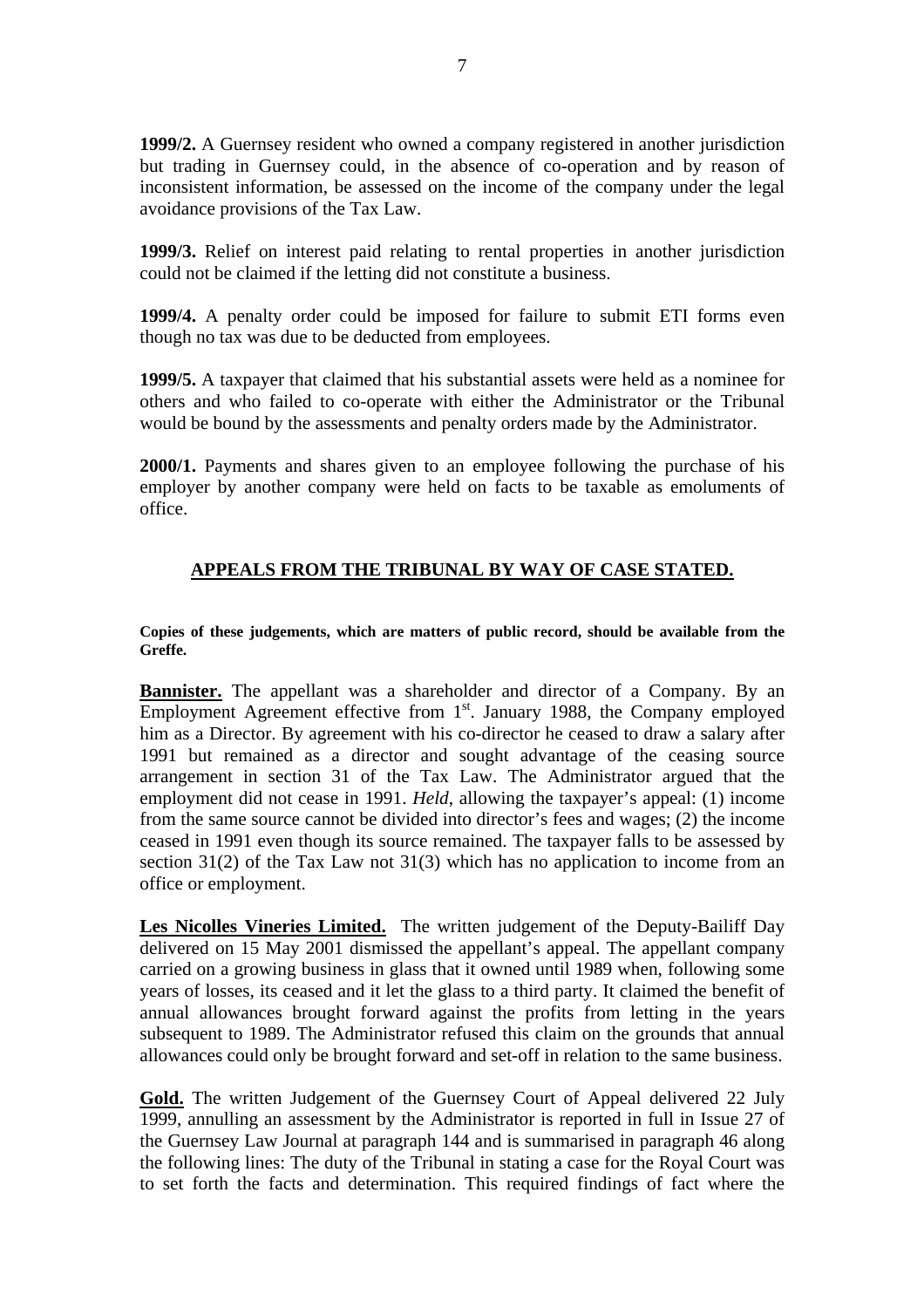**1999/2.** A Guernsey resident who owned a company registered in another jurisdiction but trading in Guernsey could, in the absence of co-operation and by reason of inconsistent information, be assessed on the income of the company under the legal avoidance provisions of the Tax Law.

**1999/3.** Relief on interest paid relating to rental properties in another jurisdiction could not be claimed if the letting did not constitute a business.

**1999/4.** A penalty order could be imposed for failure to submit ETI forms even though no tax was due to be deducted from employees.

**1999/5.** A taxpayer that claimed that his substantial assets were held as a nominee for others and who failed to co-operate with either the Administrator or the Tribunal would be bound by the assessments and penalty orders made by the Administrator.

**2000/1.** Payments and shares given to an employee following the purchase of his employer by another company were held on facts to be taxable as emoluments of office.

## **APPEALS FROM THE TRIBUNAL BY WAY OF CASE STATED.**

**Copies of these judgements, which are matters of public record, should be available from the Greffe.** 

**Bannister.** The appellant was a shareholder and director of a Company. By an Employment Agreement effective from 1<sup>st</sup>. January 1988, the Company employed him as a Director. By agreement with his co-director he ceased to draw a salary after 1991 but remained as a director and sought advantage of the ceasing source arrangement in section 31 of the Tax Law. The Administrator argued that the employment did not cease in 1991. *Held*, allowing the taxpayer's appeal: (1) income from the same source cannot be divided into director's fees and wages; (2) the income ceased in 1991 even though its source remained. The taxpayer falls to be assessed by section 31(2) of the Tax Law not 31(3) which has no application to income from an office or employment.

**Les Nicolles Vineries Limited.** The written judgement of the Deputy-Bailiff Day delivered on 15 May 2001 dismissed the appellant's appeal. The appellant company carried on a growing business in glass that it owned until 1989 when, following some years of losses, its ceased and it let the glass to a third party. It claimed the benefit of annual allowances brought forward against the profits from letting in the years subsequent to 1989. The Administrator refused this claim on the grounds that annual allowances could only be brought forward and set-off in relation to the same business.

Gold. The written Judgement of the Guernsey Court of Appeal delivered 22 July 1999, annulling an assessment by the Administrator is reported in full in Issue 27 of the Guernsey Law Journal at paragraph 144 and is summarised in paragraph 46 along the following lines: The duty of the Tribunal in stating a case for the Royal Court was to set forth the facts and determination. This required findings of fact where the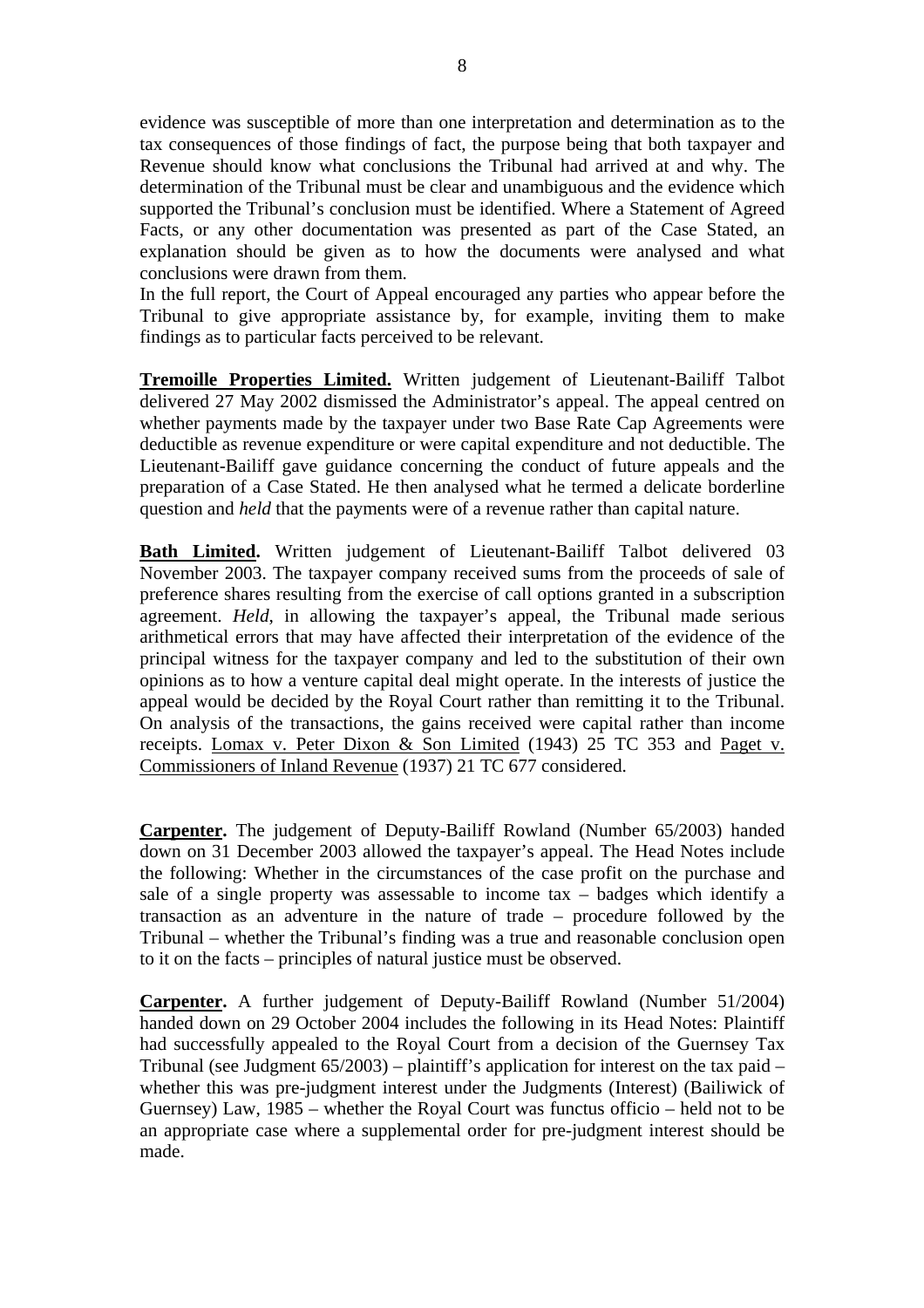evidence was susceptible of more than one interpretation and determination as to the tax consequences of those findings of fact, the purpose being that both taxpayer and Revenue should know what conclusions the Tribunal had arrived at and why. The determination of the Tribunal must be clear and unambiguous and the evidence which supported the Tribunal's conclusion must be identified. Where a Statement of Agreed Facts, or any other documentation was presented as part of the Case Stated, an explanation should be given as to how the documents were analysed and what conclusions were drawn from them.

In the full report, the Court of Appeal encouraged any parties who appear before the Tribunal to give appropriate assistance by, for example, inviting them to make findings as to particular facts perceived to be relevant.

**Tremoille Properties Limited.** Written judgement of Lieutenant-Bailiff Talbot delivered 27 May 2002 dismissed the Administrator's appeal. The appeal centred on whether payments made by the taxpayer under two Base Rate Cap Agreements were deductible as revenue expenditure or were capital expenditure and not deductible. The Lieutenant-Bailiff gave guidance concerning the conduct of future appeals and the preparation of a Case Stated. He then analysed what he termed a delicate borderline question and *held* that the payments were of a revenue rather than capital nature.

**Bath Limited.** Written judgement of Lieutenant-Bailiff Talbot delivered 03 November 2003. The taxpayer company received sums from the proceeds of sale of preference shares resulting from the exercise of call options granted in a subscription agreement. *Held*, in allowing the taxpayer's appeal, the Tribunal made serious arithmetical errors that may have affected their interpretation of the evidence of the principal witness for the taxpayer company and led to the substitution of their own opinions as to how a venture capital deal might operate. In the interests of justice the appeal would be decided by the Royal Court rather than remitting it to the Tribunal. On analysis of the transactions, the gains received were capital rather than income receipts. Lomax v. Peter Dixon & Son Limited (1943) 25 TC 353 and Paget v. Commissioners of Inland Revenue (1937) 21 TC 677 considered.

**Carpenter.** The judgement of Deputy-Bailiff Rowland (Number 65/2003) handed down on 31 December 2003 allowed the taxpayer's appeal. The Head Notes include the following: Whether in the circumstances of the case profit on the purchase and sale of a single property was assessable to income tax – badges which identify a transaction as an adventure in the nature of trade – procedure followed by the Tribunal – whether the Tribunal's finding was a true and reasonable conclusion open to it on the facts – principles of natural justice must be observed.

**Carpenter.** A further judgement of Deputy-Bailiff Rowland (Number 51/2004) handed down on 29 October 2004 includes the following in its Head Notes: Plaintiff had successfully appealed to the Royal Court from a decision of the Guernsey Tax Tribunal (see Judgment  $65/2003$ ) – plaintiff's application for interest on the tax paid – whether this was pre-judgment interest under the Judgments (Interest) (Bailiwick of Guernsey) Law, 1985 – whether the Royal Court was functus officio – held not to be an appropriate case where a supplemental order for pre-judgment interest should be made.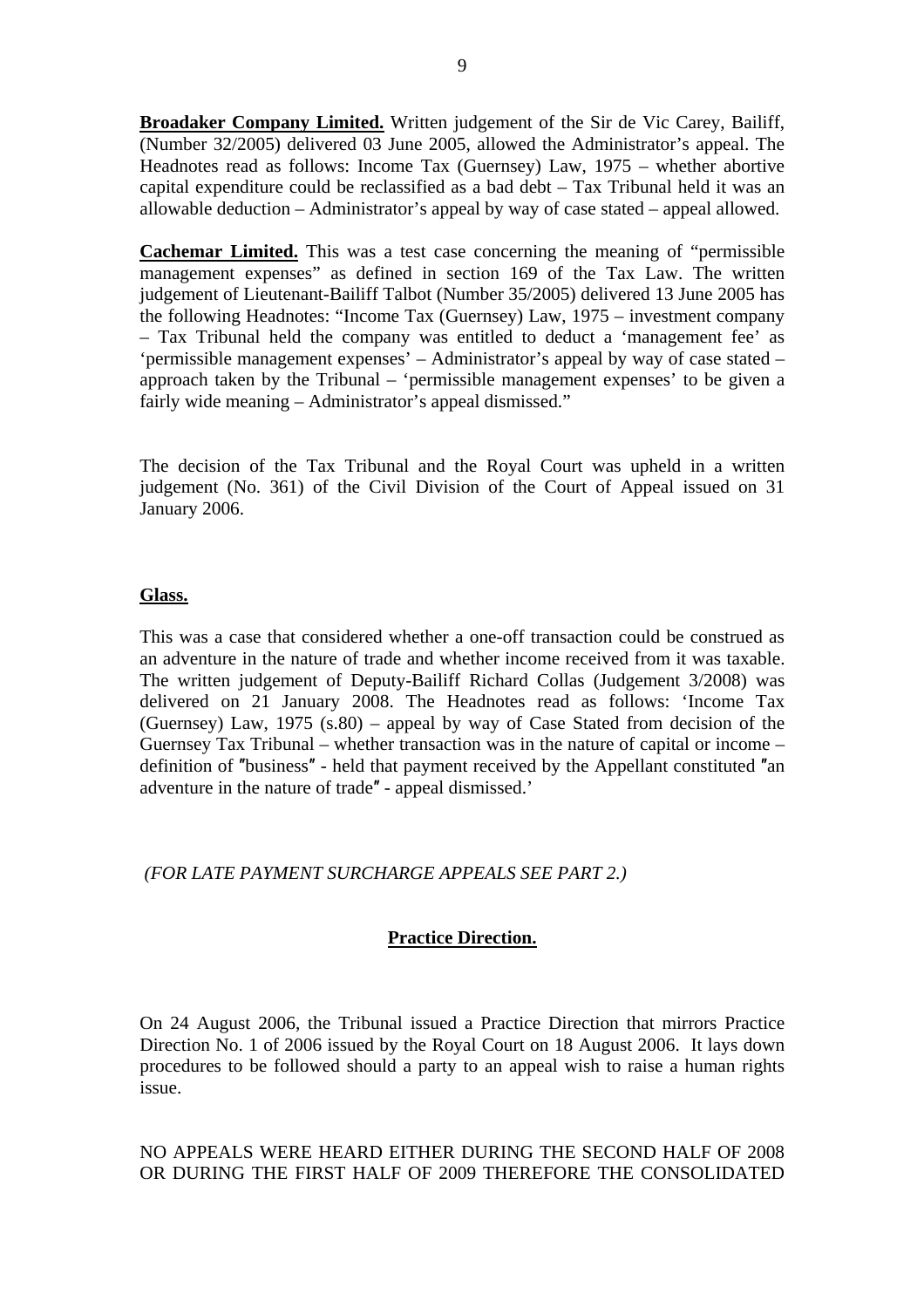**Broadaker Company Limited.** Written judgement of the Sir de Vic Carey, Bailiff, (Number 32/2005) delivered 03 June 2005, allowed the Administrator's appeal. The Headnotes read as follows: Income Tax (Guernsey) Law, 1975 – whether abortive capital expenditure could be reclassified as a bad debt – Tax Tribunal held it was an allowable deduction – Administrator's appeal by way of case stated – appeal allowed.

**Cachemar Limited.** This was a test case concerning the meaning of "permissible management expenses" as defined in section 169 of the Tax Law. The written judgement of Lieutenant-Bailiff Talbot (Number 35/2005) delivered 13 June 2005 has the following Headnotes: "Income Tax (Guernsey) Law, 1975 – investment company – Tax Tribunal held the company was entitled to deduct a 'management fee' as 'permissible management expenses' – Administrator's appeal by way of case stated – approach taken by the Tribunal – 'permissible management expenses' to be given a fairly wide meaning – Administrator's appeal dismissed."

The decision of the Tax Tribunal and the Royal Court was upheld in a written judgement (No. 361) of the Civil Division of the Court of Appeal issued on 31 January 2006.

## **Glass.**

This was a case that considered whether a one-off transaction could be construed as an adventure in the nature of trade and whether income received from it was taxable. The written judgement of Deputy-Bailiff Richard Collas (Judgement 3/2008) was delivered on 21 January 2008. The Headnotes read as follows: 'Income Tax (Guernsey) Law,  $1975$  (s.80) – appeal by way of Case Stated from decision of the Guernsey Tax Tribunal – whether transaction was in the nature of capital or income – definition of ″business″ - held that payment received by the Appellant constituted ″an adventure in the nature of trade″ - appeal dismissed.'

 *(FOR LATE PAYMENT SURCHARGE APPEALS SEE PART 2.)* 

## **Practice Direction.**

On 24 August 2006, the Tribunal issued a Practice Direction that mirrors Practice Direction No. 1 of 2006 issued by the Royal Court on 18 August 2006. It lays down procedures to be followed should a party to an appeal wish to raise a human rights issue.

NO APPEALS WERE HEARD EITHER DURING THE SECOND HALF OF 2008 OR DURING THE FIRST HALF OF 2009 THEREFORE THE CONSOLIDATED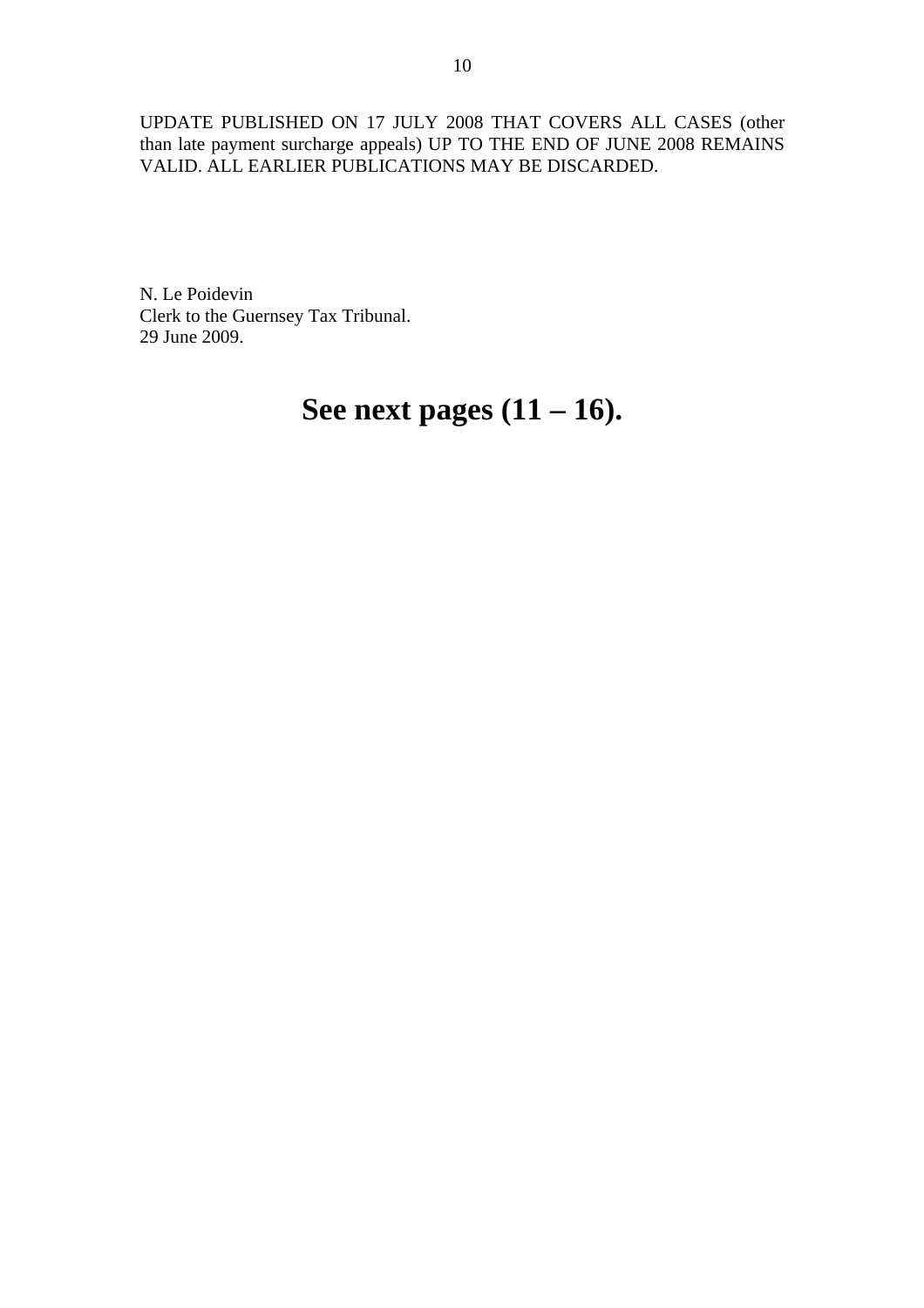UPDATE PUBLISHED ON 17 JULY 2008 THAT COVERS ALL CASES (other than late payment surcharge appeals) UP TO THE END OF JUNE 2008 REMAINS VALID. ALL EARLIER PUBLICATIONS MAY BE DISCARDED.

N. Le Poidevin Clerk to the Guernsey Tax Tribunal. 29 June 2009.

# **See next pages (11 – 16).**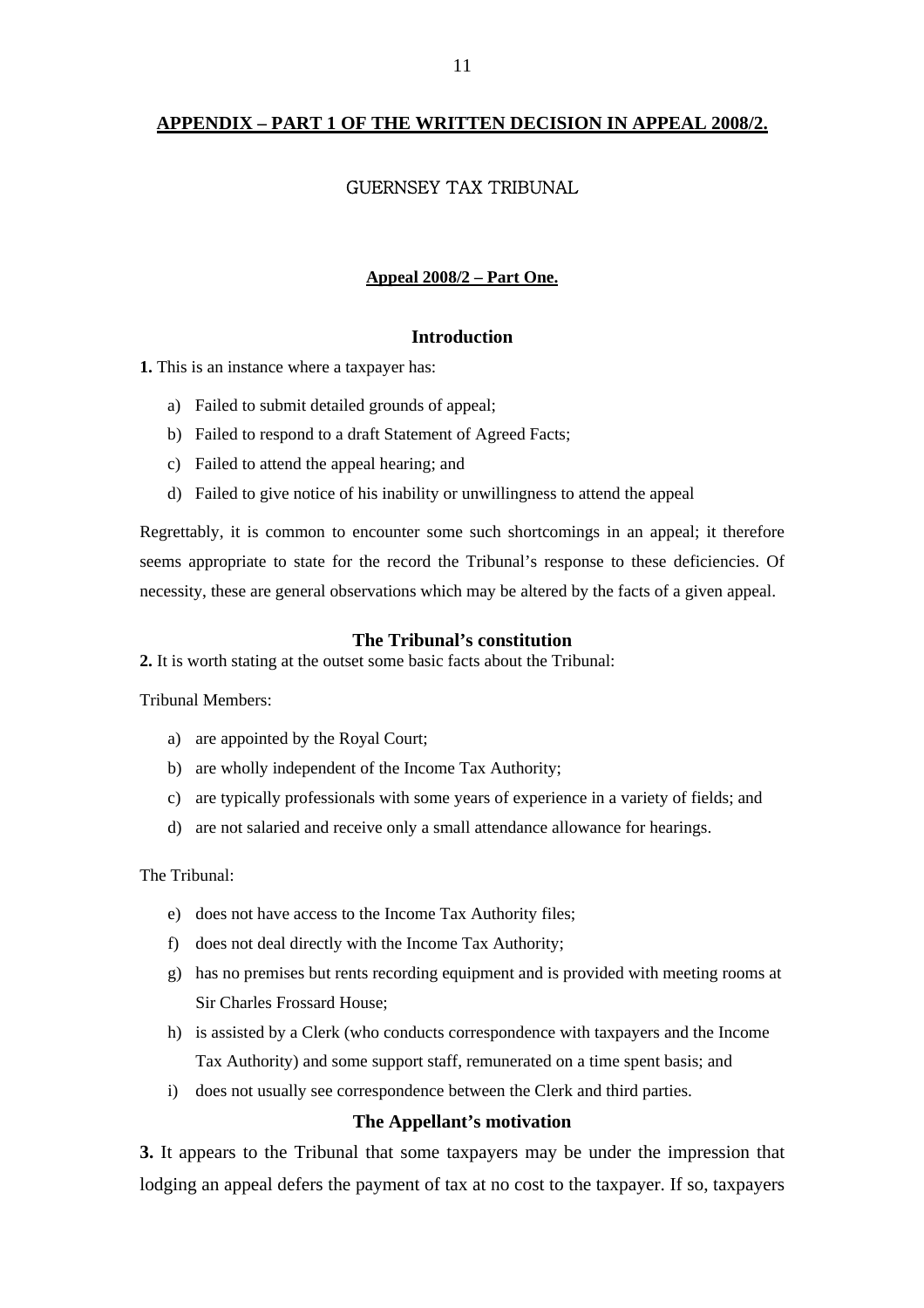## **APPENDIX – PART 1 OF THE WRITTEN DECISION IN APPEAL 2008/2.**

## GUERNSEY TAX TRIBUNAL

## **Appeal 2008/2 – Part One.**

## **Introduction**

**1.** This is an instance where a taxpayer has:

- a) Failed to submit detailed grounds of appeal;
- b) Failed to respond to a draft Statement of Agreed Facts;
- c) Failed to attend the appeal hearing; and
- d) Failed to give notice of his inability or unwillingness to attend the appeal

Regrettably, it is common to encounter some such shortcomings in an appeal; it therefore seems appropriate to state for the record the Tribunal's response to these deficiencies. Of necessity, these are general observations which may be altered by the facts of a given appeal.

## **The Tribunal's constitution**

**2.** It is worth stating at the outset some basic facts about the Tribunal:

Tribunal Members:

- a) are appointed by the Royal Court;
- b) are wholly independent of the Income Tax Authority;
- c) are typically professionals with some years of experience in a variety of fields; and
- d) are not salaried and receive only a small attendance allowance for hearings.

The Tribunal:

- e) does not have access to the Income Tax Authority files;
- f) does not deal directly with the Income Tax Authority;
- g) has no premises but rents recording equipment and is provided with meeting rooms at Sir Charles Frossard House;
- h) is assisted by a Clerk (who conducts correspondence with taxpayers and the Income Tax Authority) and some support staff, remunerated on a time spent basis; and
- i) does not usually see correspondence between the Clerk and third parties.

## **The Appellant's motivation**

**3.** It appears to the Tribunal that some taxpayers may be under the impression that lodging an appeal defers the payment of tax at no cost to the taxpayer. If so, taxpayers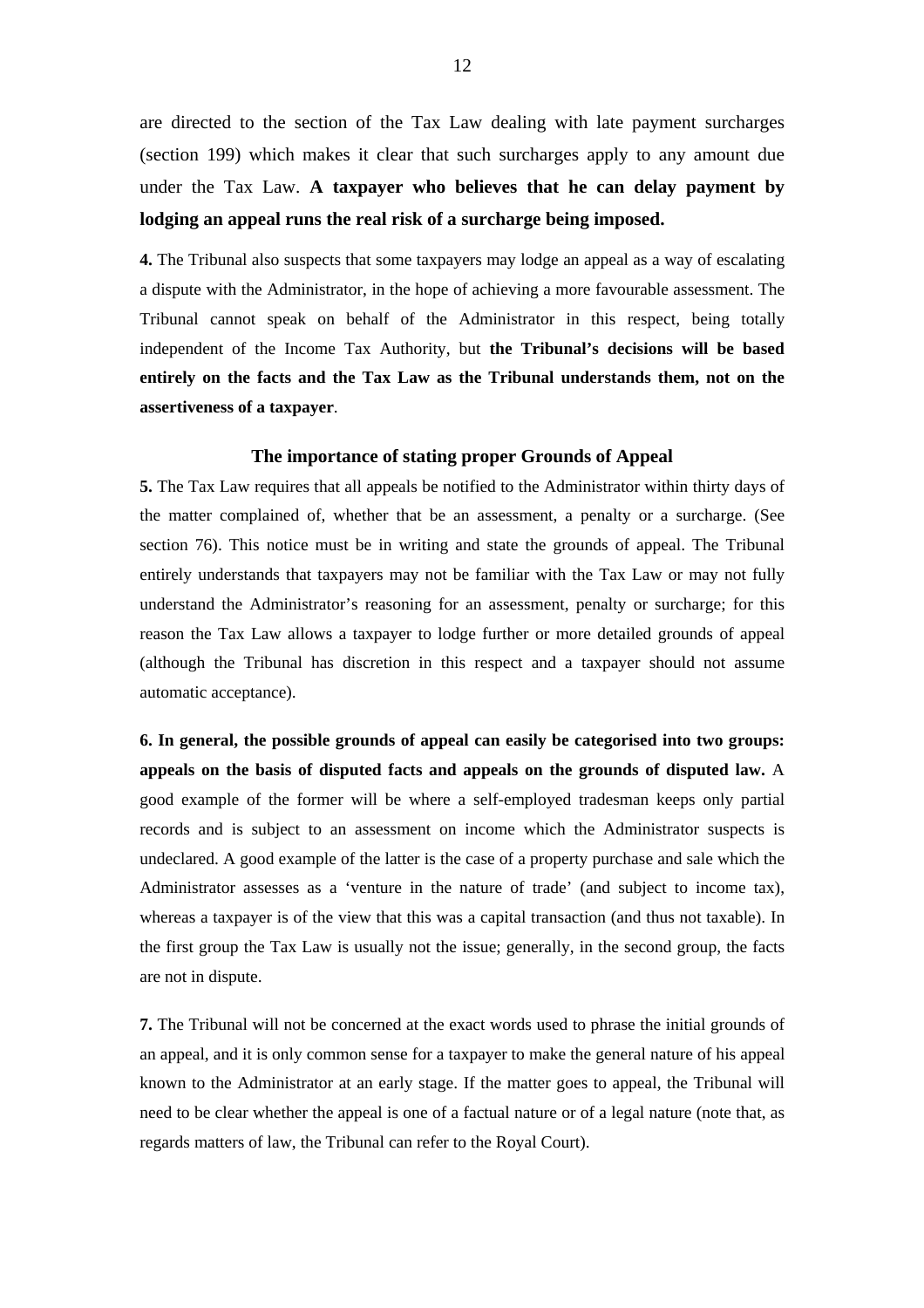are directed to the section of the Tax Law dealing with late payment surcharges (section 199) which makes it clear that such surcharges apply to any amount due under the Tax Law. **A taxpayer who believes that he can delay payment by lodging an appeal runs the real risk of a surcharge being imposed.** 

**4.** The Tribunal also suspects that some taxpayers may lodge an appeal as a way of escalating a dispute with the Administrator, in the hope of achieving a more favourable assessment. The Tribunal cannot speak on behalf of the Administrator in this respect, being totally independent of the Income Tax Authority, but **the Tribunal's decisions will be based entirely on the facts and the Tax Law as the Tribunal understands them, not on the assertiveness of a taxpayer**.

#### **The importance of stating proper Grounds of Appeal**

**5.** The Tax Law requires that all appeals be notified to the Administrator within thirty days of the matter complained of, whether that be an assessment, a penalty or a surcharge. (See section 76). This notice must be in writing and state the grounds of appeal. The Tribunal entirely understands that taxpayers may not be familiar with the Tax Law or may not fully understand the Administrator's reasoning for an assessment, penalty or surcharge; for this reason the Tax Law allows a taxpayer to lodge further or more detailed grounds of appeal (although the Tribunal has discretion in this respect and a taxpayer should not assume automatic acceptance).

**6. In general, the possible grounds of appeal can easily be categorised into two groups: appeals on the basis of disputed facts and appeals on the grounds of disputed law.** A good example of the former will be where a self-employed tradesman keeps only partial records and is subject to an assessment on income which the Administrator suspects is undeclared. A good example of the latter is the case of a property purchase and sale which the Administrator assesses as a 'venture in the nature of trade' (and subject to income tax), whereas a taxpayer is of the view that this was a capital transaction (and thus not taxable). In the first group the Tax Law is usually not the issue; generally, in the second group, the facts are not in dispute.

**7.** The Tribunal will not be concerned at the exact words used to phrase the initial grounds of an appeal, and it is only common sense for a taxpayer to make the general nature of his appeal known to the Administrator at an early stage. If the matter goes to appeal, the Tribunal will need to be clear whether the appeal is one of a factual nature or of a legal nature (note that, as regards matters of law, the Tribunal can refer to the Royal Court).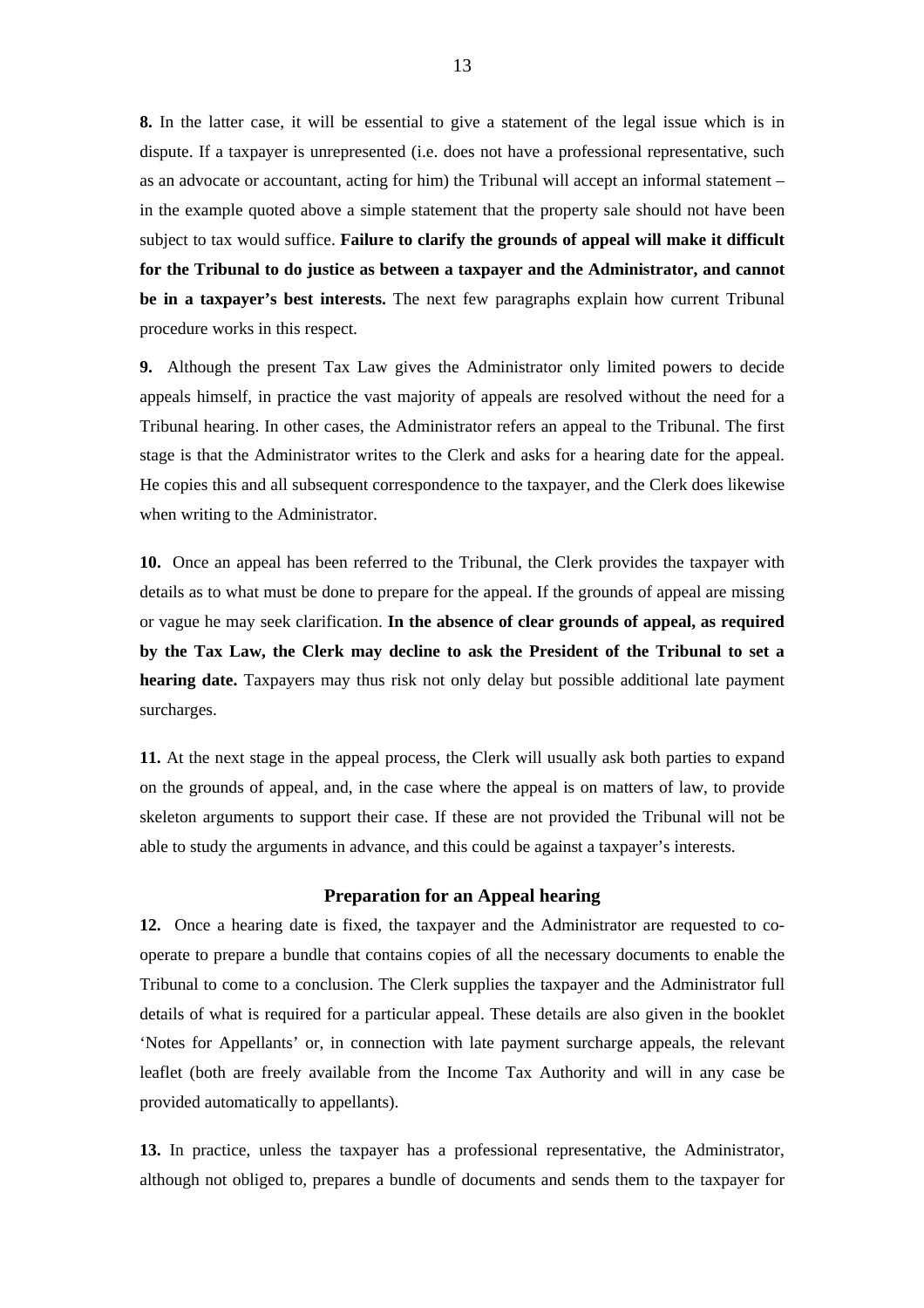**8.** In the latter case, it will be essential to give a statement of the legal issue which is in dispute. If a taxpayer is unrepresented (i.e. does not have a professional representative, such as an advocate or accountant, acting for him) the Tribunal will accept an informal statement – in the example quoted above a simple statement that the property sale should not have been subject to tax would suffice. **Failure to clarify the grounds of appeal will make it difficult for the Tribunal to do justice as between a taxpayer and the Administrator, and cannot be in a taxpayer's best interests.** The next few paragraphs explain how current Tribunal procedure works in this respect.

**9.** Although the present Tax Law gives the Administrator only limited powers to decide appeals himself, in practice the vast majority of appeals are resolved without the need for a Tribunal hearing. In other cases, the Administrator refers an appeal to the Tribunal. The first stage is that the Administrator writes to the Clerk and asks for a hearing date for the appeal. He copies this and all subsequent correspondence to the taxpayer, and the Clerk does likewise when writing to the Administrator.

**10.** Once an appeal has been referred to the Tribunal, the Clerk provides the taxpayer with details as to what must be done to prepare for the appeal. If the grounds of appeal are missing or vague he may seek clarification. **In the absence of clear grounds of appeal, as required by the Tax Law, the Clerk may decline to ask the President of the Tribunal to set a hearing date.** Taxpayers may thus risk not only delay but possible additional late payment surcharges.

**11.** At the next stage in the appeal process, the Clerk will usually ask both parties to expand on the grounds of appeal, and, in the case where the appeal is on matters of law, to provide skeleton arguments to support their case. If these are not provided the Tribunal will not be able to study the arguments in advance, and this could be against a taxpayer's interests.

## **Preparation for an Appeal hearing**

**12.** Once a hearing date is fixed, the taxpayer and the Administrator are requested to cooperate to prepare a bundle that contains copies of all the necessary documents to enable the Tribunal to come to a conclusion. The Clerk supplies the taxpayer and the Administrator full details of what is required for a particular appeal. These details are also given in the booklet 'Notes for Appellants' or, in connection with late payment surcharge appeals, the relevant leaflet (both are freely available from the Income Tax Authority and will in any case be provided automatically to appellants).

**13.** In practice, unless the taxpayer has a professional representative, the Administrator, although not obliged to, prepares a bundle of documents and sends them to the taxpayer for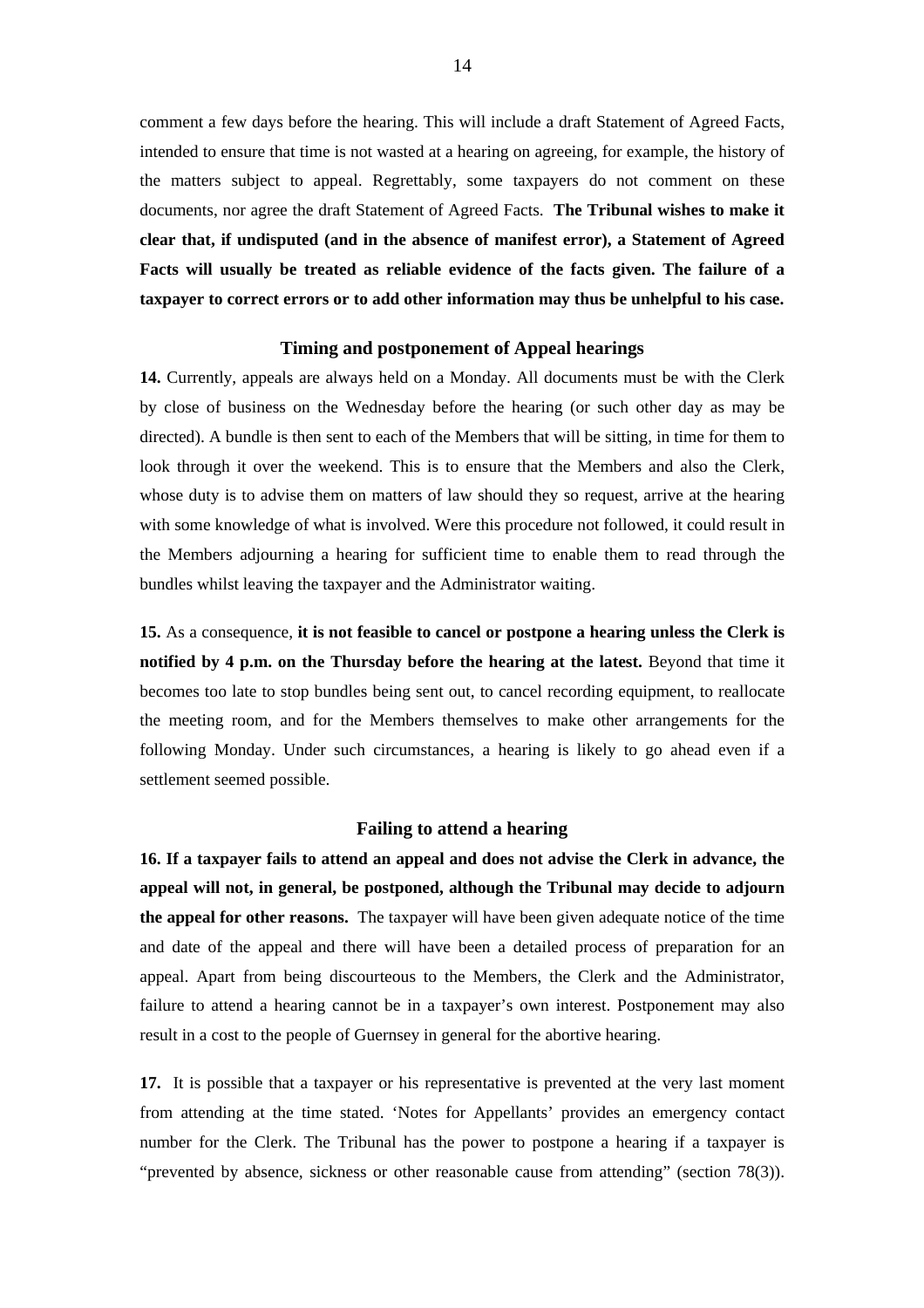comment a few days before the hearing. This will include a draft Statement of Agreed Facts, intended to ensure that time is not wasted at a hearing on agreeing, for example, the history of the matters subject to appeal. Regrettably, some taxpayers do not comment on these documents, nor agree the draft Statement of Agreed Facts. **The Tribunal wishes to make it clear that, if undisputed (and in the absence of manifest error), a Statement of Agreed Facts will usually be treated as reliable evidence of the facts given. The failure of a taxpayer to correct errors or to add other information may thus be unhelpful to his case.** 

## **Timing and postponement of Appeal hearings**

**14.** Currently, appeals are always held on a Monday. All documents must be with the Clerk by close of business on the Wednesday before the hearing (or such other day as may be directed). A bundle is then sent to each of the Members that will be sitting, in time for them to look through it over the weekend. This is to ensure that the Members and also the Clerk, whose duty is to advise them on matters of law should they so request, arrive at the hearing with some knowledge of what is involved. Were this procedure not followed, it could result in the Members adjourning a hearing for sufficient time to enable them to read through the bundles whilst leaving the taxpayer and the Administrator waiting.

**15.** As a consequence, **it is not feasible to cancel or postpone a hearing unless the Clerk is notified by 4 p.m. on the Thursday before the hearing at the latest.** Beyond that time it becomes too late to stop bundles being sent out, to cancel recording equipment, to reallocate the meeting room, and for the Members themselves to make other arrangements for the following Monday. Under such circumstances, a hearing is likely to go ahead even if a settlement seemed possible.

#### **Failing to attend a hearing**

**16. If a taxpayer fails to attend an appeal and does not advise the Clerk in advance, the appeal will not, in general, be postponed, although the Tribunal may decide to adjourn the appeal for other reasons.** The taxpayer will have been given adequate notice of the time and date of the appeal and there will have been a detailed process of preparation for an appeal. Apart from being discourteous to the Members, the Clerk and the Administrator, failure to attend a hearing cannot be in a taxpayer's own interest. Postponement may also result in a cost to the people of Guernsey in general for the abortive hearing.

**17.** It is possible that a taxpayer or his representative is prevented at the very last moment from attending at the time stated. 'Notes for Appellants' provides an emergency contact number for the Clerk. The Tribunal has the power to postpone a hearing if a taxpayer is "prevented by absence, sickness or other reasonable cause from attending" (section 78(3)).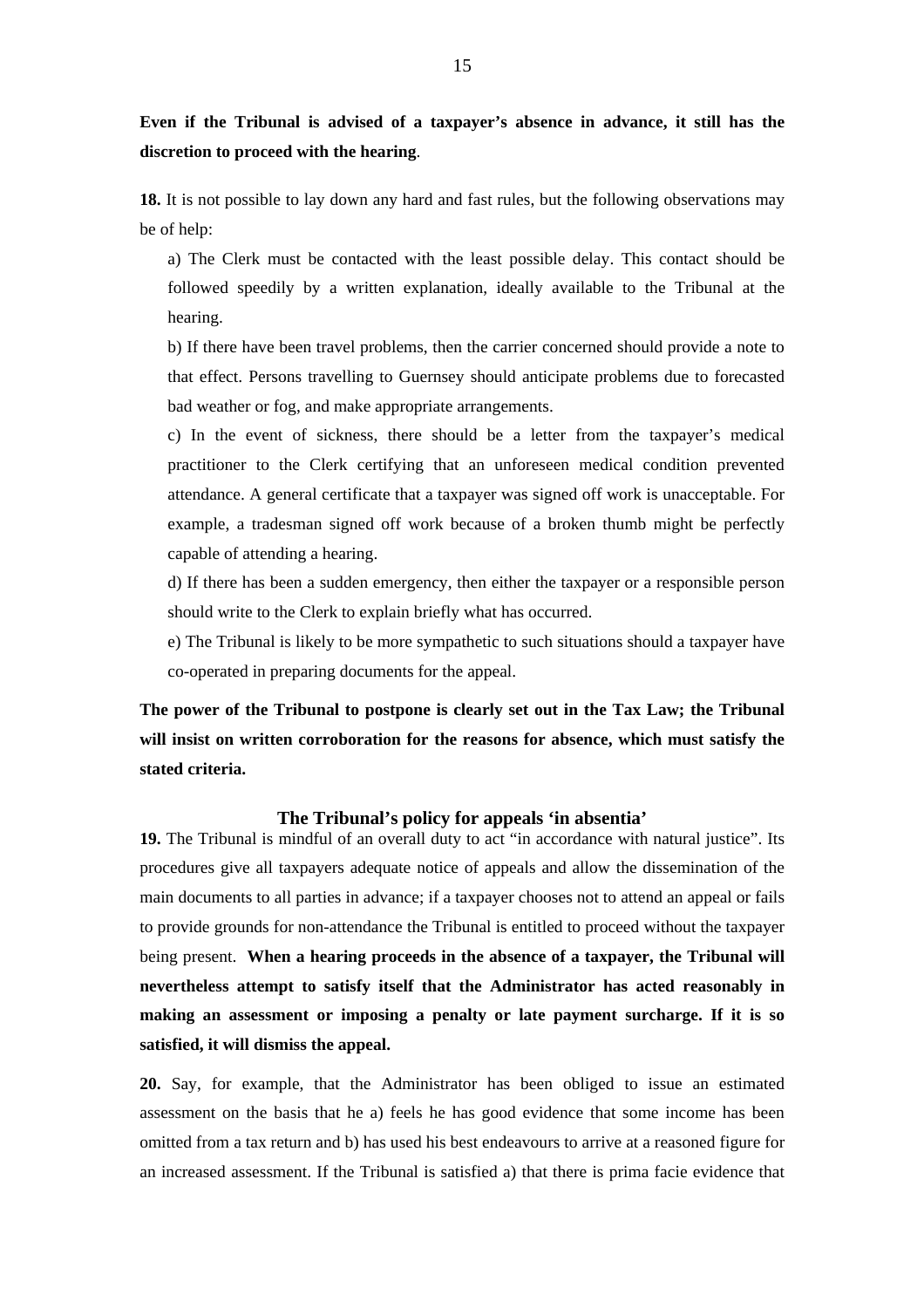**Even if the Tribunal is advised of a taxpayer's absence in advance, it still has the discretion to proceed with the hearing**.

**18.** It is not possible to lay down any hard and fast rules, but the following observations may be of help:

a) The Clerk must be contacted with the least possible delay. This contact should be followed speedily by a written explanation, ideally available to the Tribunal at the hearing.

b) If there have been travel problems, then the carrier concerned should provide a note to that effect. Persons travelling to Guernsey should anticipate problems due to forecasted bad weather or fog, and make appropriate arrangements.

c) In the event of sickness, there should be a letter from the taxpayer's medical practitioner to the Clerk certifying that an unforeseen medical condition prevented attendance. A general certificate that a taxpayer was signed off work is unacceptable. For example, a tradesman signed off work because of a broken thumb might be perfectly capable of attending a hearing.

d) If there has been a sudden emergency, then either the taxpayer or a responsible person should write to the Clerk to explain briefly what has occurred.

e) The Tribunal is likely to be more sympathetic to such situations should a taxpayer have co-operated in preparing documents for the appeal.

**The power of the Tribunal to postpone is clearly set out in the Tax Law; the Tribunal will insist on written corroboration for the reasons for absence, which must satisfy the stated criteria.** 

#### **The Tribunal's policy for appeals 'in absentia'**

**19.** The Tribunal is mindful of an overall duty to act "in accordance with natural justice". Its procedures give all taxpayers adequate notice of appeals and allow the dissemination of the main documents to all parties in advance; if a taxpayer chooses not to attend an appeal or fails to provide grounds for non-attendance the Tribunal is entitled to proceed without the taxpayer being present. **When a hearing proceeds in the absence of a taxpayer, the Tribunal will nevertheless attempt to satisfy itself that the Administrator has acted reasonably in making an assessment or imposing a penalty or late payment surcharge. If it is so satisfied, it will dismiss the appeal.** 

**20.** Say, for example, that the Administrator has been obliged to issue an estimated assessment on the basis that he a) feels he has good evidence that some income has been omitted from a tax return and b) has used his best endeavours to arrive at a reasoned figure for an increased assessment. If the Tribunal is satisfied a) that there is prima facie evidence that